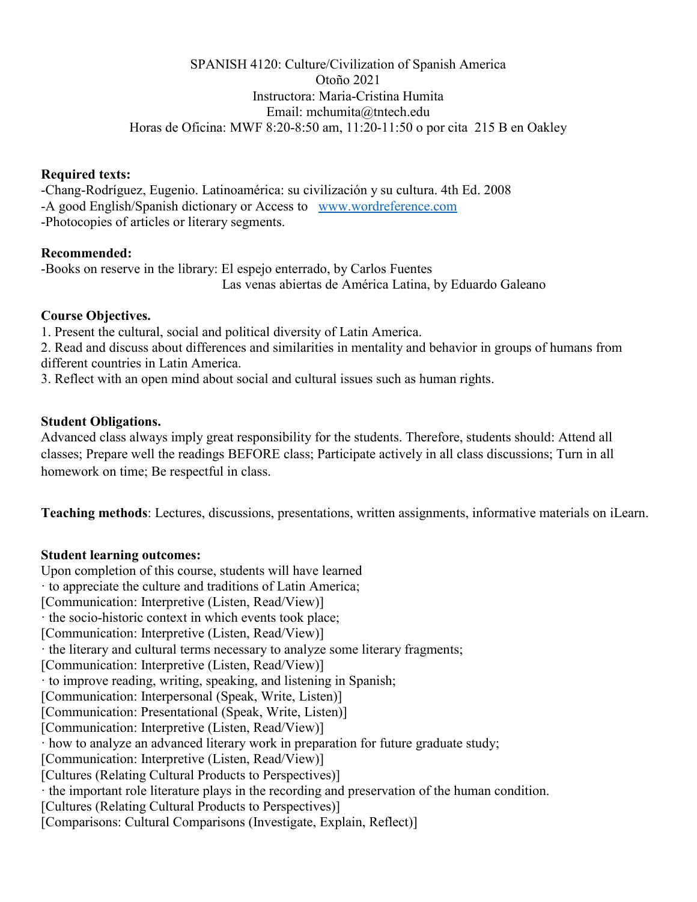### SPANISH 4120: Culture/Civilization of Spanish America Otoño 2021 Instructora: Maria-Cristina Humita Email: mchumita@tntech.edu Horas de Oficina: MWF 8:20-8:50 am, 11:20-11:50 o por cita 215 B en Oakley

#### **Required texts:**

-Chang-Rodríguez, Eugenio. Latinoamérica: su civilización y su cultura. 4th Ed. 2008 -A good English/Spanish dictionary or Access to [www.wordreference.com](http://www.wordreference.com/) -Photocopies of articles or literary segments.

# **Recommended:**

-Books on reserve in the library: El espejo enterrado, by Carlos Fuentes Las venas abiertas de América Latina, by Eduardo Galeano

# **Course Objectives.**

1. Present the cultural, social and political diversity of Latin America.

2. Read and discuss about differences and similarities in mentality and behavior in groups of humans from different countries in Latin America.

3. Reflect with an open mind about social and cultural issues such as human rights.

## **Student Obligations.**

Advanced class always imply great responsibility for the students. Therefore, students should: Attend all classes; Prepare well the readings BEFORE class; Participate actively in all class discussions; Turn in all homework on time; Be respectful in class.

**Teaching methods**: Lectures, discussions, presentations, written assignments, informative materials on iLearn.

# **Student learning outcomes:**

Upon completion of this course, students will have learned · to appreciate the culture and traditions of Latin America; [Communication: Interpretive (Listen, Read/View)] · the socio-historic context in which events took place; [Communication: Interpretive (Listen, Read/View)] · the literary and cultural terms necessary to analyze some literary fragments; [Communication: Interpretive (Listen, Read/View)] · to improve reading, writing, speaking, and listening in Spanish; [Communication: Interpersonal (Speak, Write, Listen)] [Communication: Presentational (Speak, Write, Listen)] [Communication: Interpretive (Listen, Read/View)] · how to analyze an advanced literary work in preparation for future graduate study; [Communication: Interpretive (Listen, Read/View)] [Cultures (Relating Cultural Products to Perspectives)] · the important role literature plays in the recording and preservation of the human condition. [Cultures (Relating Cultural Products to Perspectives)] [Comparisons: Cultural Comparisons (Investigate, Explain, Reflect)]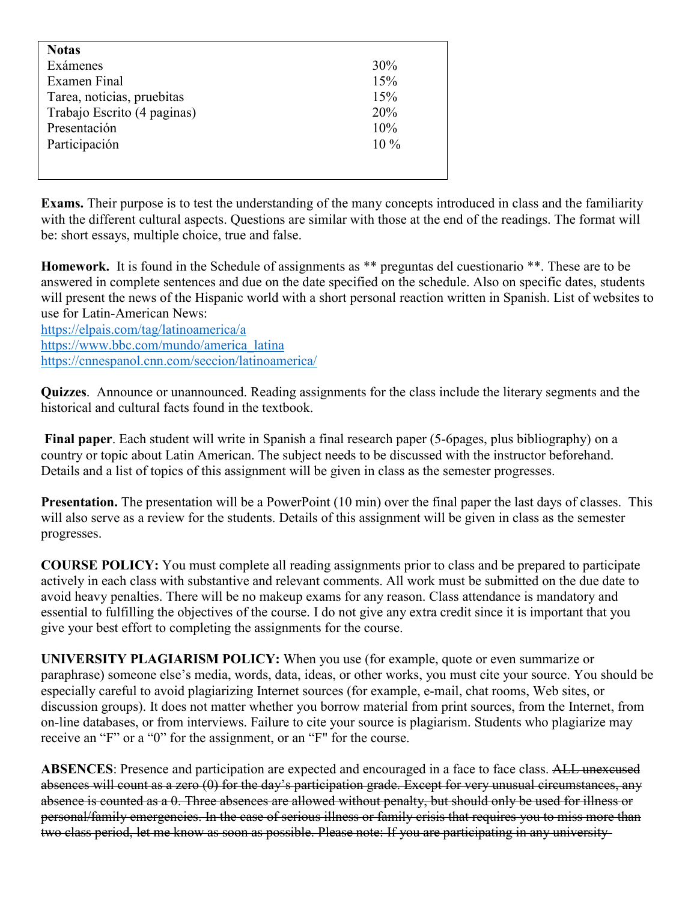| <b>Notas</b>                |        |
|-----------------------------|--------|
| Exámenes                    | $30\%$ |
| Examen Final                | 15%    |
| Tarea, noticias, pruebitas  | 15%    |
| Trabajo Escrito (4 paginas) | 20%    |
| Presentación                | 10%    |
| Participación               | $10\%$ |
|                             |        |
|                             |        |

**Exams.** Their purpose is to test the understanding of the many concepts introduced in class and the familiarity with the different cultural aspects. Questions are similar with those at the end of the readings. The format will be: short essays, multiple choice, true and false.

**Homework.** It is found in the Schedule of assignments as \*\* preguntas del cuestionario \*\*. These are to be answered in complete sentences and due on the date specified on the schedule. Also on specific dates, students will present the news of the Hispanic world with a short personal reaction written in Spanish. List of websites to use for Latin-American News:

<https://elpais.com/tag/latinoamerica/a> [https://www.bbc.com/mundo/america\\_latina](https://www.bbc.com/mundo/america_latina) <https://cnnespanol.cnn.com/seccion/latinoamerica/>

**Quizzes**. Announce or unannounced. Reading assignments for the class include the literary segments and the historical and cultural facts found in the textbook.

**Final paper**. Each student will write in Spanish a final research paper (5-6pages, plus bibliography) on a country or topic about Latin American. The subject needs to be discussed with the instructor beforehand. Details and a list of topics of this assignment will be given in class as the semester progresses.

**Presentation.** The presentation will be a PowerPoint (10 min) over the final paper the last days of classes. This will also serve as a review for the students. Details of this assignment will be given in class as the semester progresses.

**COURSE POLICY:** You must complete all reading assignments prior to class and be prepared to participate actively in each class with substantive and relevant comments. All work must be submitted on the due date to avoid heavy penalties. There will be no makeup exams for any reason. Class attendance is mandatory and essential to fulfilling the objectives of the course. I do not give any extra credit since it is important that you give your best effort to completing the assignments for the course.

**UNIVERSITY PLAGIARISM POLICY:** When you use (for example, quote or even summarize or paraphrase) someone else's media, words, data, ideas, or other works, you must cite your source. You should be especially careful to avoid plagiarizing Internet sources (for example, e-mail, chat rooms, Web sites, or discussion groups). It does not matter whether you borrow material from print sources, from the Internet, from on-line databases, or from interviews. Failure to cite your source is plagiarism. Students who plagiarize may receive an "F" or a "0" for the assignment, or an "F" for the course.

ABSENCES: Presence and participation are expected and encouraged in a face to face class. ALL unexeused absences will count as a zero (0) for the day's participation grade. Except for very unusual circumstances, any absence is counted as a 0. Three absences are allowed without penalty, but should only be used for illness or personal/family emergencies. In the case of serious illness or family crisis that requires you to miss more than two class period, let me know as soon as possible. Please note: If you are participating in any university-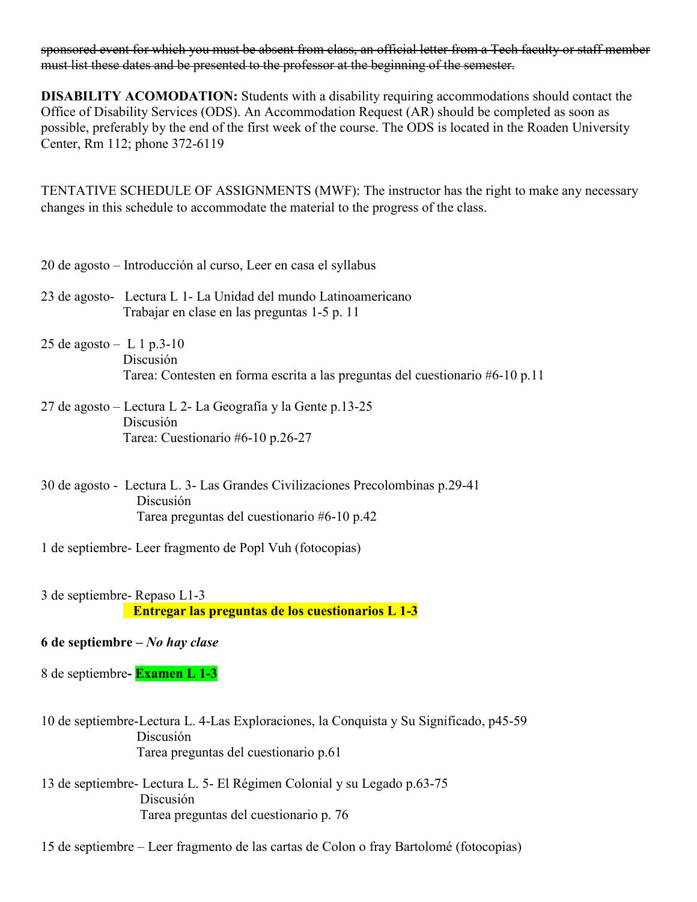sponsored event for which you must be absent from class, an official letter from a Tech faculty or staff member must list these dates and be presented to the professor at the beginning of the semester.

**DISABILITY ACOMODATION:** Students with a disability requiring accommodations should contact the Office of Disability Services (ODS). An Accommodation Request (AR) should be completed as soon as possible, preferably by the end of the first week of the course. The ODS is located in the Roaden University Center, Rm 112; phone 372-6119

TENTATIVE SCHEDULE OF ASSIGNMENTS (MWF): The instructor has the right to make any necessary changes in this schedule to accommodate the material to the progress of the class.

20 de agosto – Introducción al curso, Leer en casa el syllabus

- 23 de agosto- Lectura L 1- La Unidad del mundo Latinoamericano Trabajar en clase en las preguntas 1-5 p. 11
- 25 de agosto L 1 p.3-10 Discusión Tarea: Contesten en forma escrita a las preguntas del cuestionario #6-10 p.11
- 27 de agosto Lectura L 2- La Geografía y la Gente p.13-25 Discusión Tarea: Cuestionario #6-10 p.26-27
- 30 de agosto Lectura L. 3- Las Grandes Civilizaciones Precolombinas p.29-41 Discusión Tarea preguntas del cuestionario #6-10 p.42
- 1 de septiembre- Leer fragmento de Popl Vuh (fotocopias)
- 3 de septiembre- Repaso L1-3  **Entregar las preguntas de los cuestionarios L 1-3**

# **6 de septiembre –** *No hay clase*

8 de septiembre**- Examen L 1-3**

- 10 de septiembre-Lectura L. 4-Las Exploraciones, la Conquista y Su Significado, p45-59 Discusión Tarea preguntas del cuestionario p.61
- 13 de septiembre- Lectura L. 5- El Régimen Colonial y su Legado p.63-75 Discusión Tarea preguntas del cuestionario p. 76
- 15 de septiembre Leer fragmento de las cartas de Colon o fray Bartolomé (fotocopias)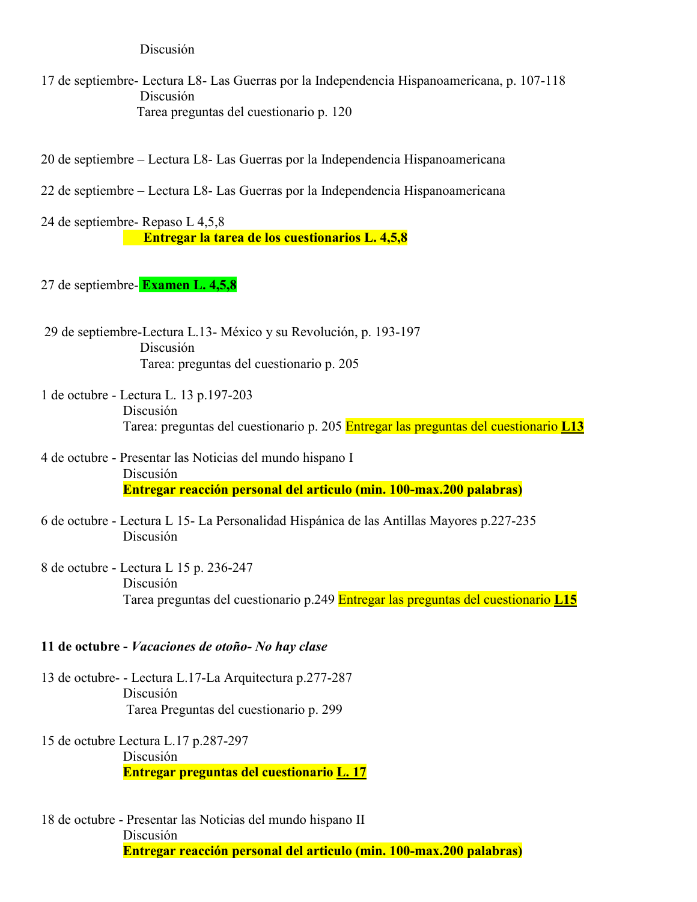#### Discusión

- 17 de septiembre- Lectura L8- Las Guerras por la Independencia Hispanoamericana, p. 107-118 Discusión Tarea preguntas del cuestionario p. 120
- 20 de septiembre Lectura L8- Las Guerras por la Independencia Hispanoamericana
- 22 de septiembre Lectura L8- Las Guerras por la Independencia Hispanoamericana

24 de septiembre- Repaso L 4,5,8  **Entregar la tarea de los cuestionarios L. 4,5,8**

- 27 de septiembre- **Examen L. 4,5,8**
- 29 de septiembre-Lectura L.13- México y su Revolución, p. 193-197 Discusión Tarea: preguntas del cuestionario p. 205
- 1 de octubre Lectura L. 13 p.197-203 Discusión Tarea: preguntas del cuestionario p. 205 Entregar las preguntas del cuestionario **L13**
- 4 de octubre Presentar las Noticias del mundo hispano I Discusión **Entregar reacción personal del articulo (min. 100-max.200 palabras)**
- 6 de octubre Lectura L 15- La Personalidad Hispánica de las Antillas Mayores p.227-235 Discusión
- 8 de octubre Lectura L 15 p. 236-247 Discusión Tarea preguntas del cuestionario p.249 Entregar las preguntas del cuestionario **L15**

#### **11 de octubre -** *Vacaciones de otoño- No hay clase*

- 13 de octubre- Lectura L.17-La Arquitectura p.277-287 Discusión Tarea Preguntas del cuestionario p. 299
- 15 de octubre Lectura L.17 p.287-297 Discusión **Entregar preguntas del cuestionario L. 17**
- 18 de octubre Presentar las Noticias del mundo hispano II Discusión **Entregar reacción personal del articulo (min. 100-max.200 palabras)**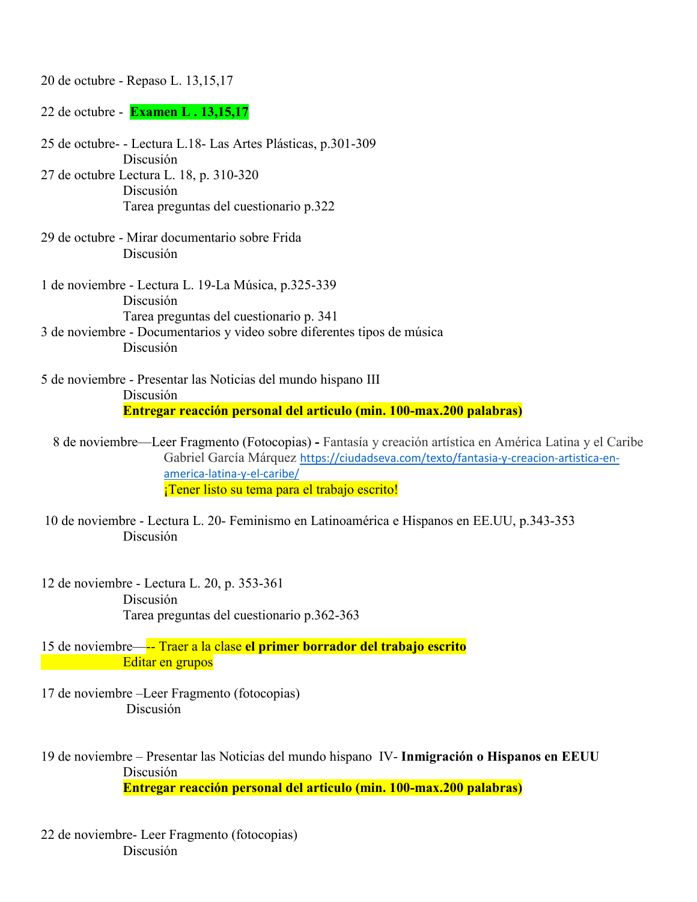20 de octubre - Repaso L. 13,15,17

22 de octubre - **Examen L . 13,15,17**

25 de octubre- - Lectura L.18- Las Artes Plásticas, p.301-309 Discusión 27 de octubre Lectura L. 18, p. 310-320 Discusión Tarea preguntas del cuestionario p.322 29 de octubre - Mirar documentario sobre Frida Discusión 1 de noviembre - Lectura L. 19-La Música, p.325-339 Discusión Tarea preguntas del cuestionario p. 341 3 de noviembre - Documentarios y video sobre diferentes tipos de música Discusión 5 de noviembre - Presentar las Noticias del mundo hispano III Discusión **Entregar reacción personal del articulo (min. 100-max.200 palabras)**

8 de noviembre—Leer Fragmento (Fotocopias) **-** Fantasía y creación artística en América Latina y el Caribe Gabriel García Márquez [https://ciudadseva.com/texto/fantasia-y-creacion-artistica-en](https://ciudadseva.com/texto/fantasia-y-creacion-artistica-en-america-latina-y-el-caribe/)[america-latina-y-el-caribe/](https://ciudadseva.com/texto/fantasia-y-creacion-artistica-en-america-latina-y-el-caribe/)

¡Tener listo su tema para el trabajo escrito!

- 10 de noviembre Lectura L. 20- Feminismo en Latinoamérica e Hispanos en EE.UU, p.343-353 Discusión
- 12 de noviembre Lectura L. 20, p. 353-361 Discusión Tarea preguntas del cuestionario p.362-363
- 15 de noviembre—-- Traer a la clase **el primer borrador del trabajo escrito Editar en grupos**
- 17 de noviembre –Leer Fragmento (fotocopias) Discusión
- 19 de noviembre Presentar las Noticias del mundo hispano IV- **Inmigración o Hispanos en EEUU** Discusión **Entregar reacción personal del articulo (min. 100-max.200 palabras)**
- 22 de noviembre- Leer Fragmento (fotocopias) Discusión